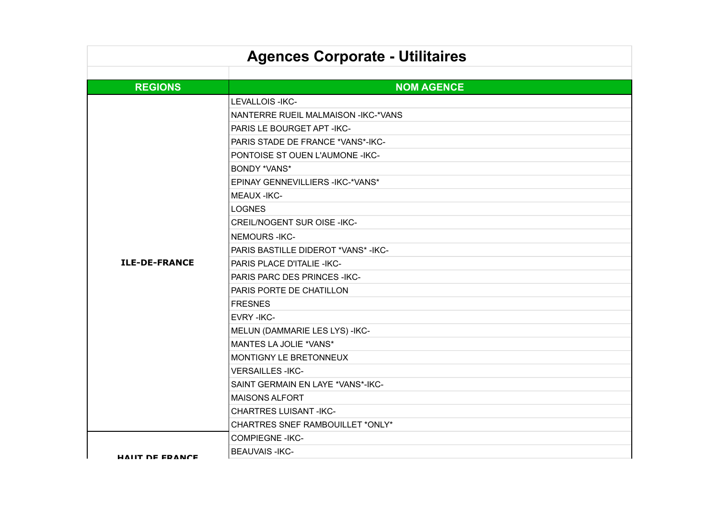| <b>Agences Corporate - Utilitaires</b> |                                      |  |
|----------------------------------------|--------------------------------------|--|
|                                        |                                      |  |
| <b>REGIONS</b>                         | <b>NOM AGENCE</b>                    |  |
|                                        | LEVALLOIS-IKC-                       |  |
|                                        | NANTERRE RUEIL MALMAISON - IKC-*VANS |  |
|                                        | PARIS LE BOURGET APT - IKC-          |  |
|                                        | PARIS STADE DE FRANCE *VANS*-IKC-    |  |
|                                        | PONTOISE ST OUEN L'AUMONE - IKC-     |  |
|                                        | <b>BONDY *VANS*</b>                  |  |
|                                        | EPINAY GENNEVILLIERS - IKC-* VANS*   |  |
|                                        | <b>MEAUX -IKC-</b>                   |  |
|                                        | <b>LOGNES</b>                        |  |
|                                        | <b>CREIL/NOGENT SUR OISE -IKC-</b>   |  |
|                                        | <b>NEMOURS-IKC-</b>                  |  |
|                                        | PARIS BASTILLE DIDEROT *VANS*-IKC-   |  |
| <b>ILE-DE-FRANCE</b>                   | <b>PARIS PLACE D'ITALIE -IKC-</b>    |  |
|                                        | PARIS PARC DES PRINCES - IKC-        |  |
|                                        | PARIS PORTE DE CHATILLON             |  |
|                                        | <b>FRESNES</b>                       |  |
|                                        | <b>EVRY-IKC-</b>                     |  |
|                                        | MELUN (DAMMARIE LES LYS) -IKC-       |  |
|                                        | MANTES LA JOLIE *VANS*               |  |
|                                        | <b>MONTIGNY LE BRETONNEUX</b>        |  |
|                                        | <b>VERSAILLES - IKC-</b>             |  |
|                                        | SAINT GERMAIN EN LAYE *VANS*-IKC-    |  |
|                                        | <b>MAISONS ALFORT</b>                |  |
|                                        | <b>CHARTRES LUISANT -IKC-</b>        |  |
|                                        | CHARTRES SNEF RAMBOUILLET *ONLY*     |  |
|                                        | <b>COMPIEGNE-IKC-</b>                |  |
| <b>HAIIT DE FRANCE</b>                 | <b>BEAUVAIS-IKC-</b>                 |  |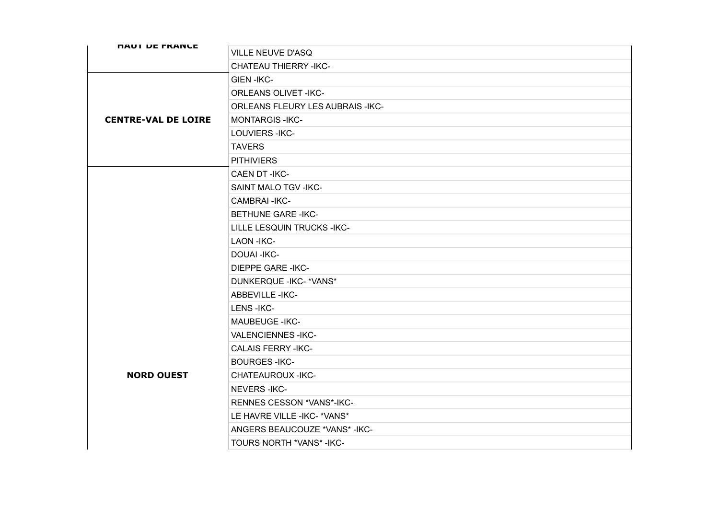| <b><i>NAUI DE FRANCE</i></b> | <b>VILLE NEUVE D'ASQ</b>                |
|------------------------------|-----------------------------------------|
|                              | <b>CHATEAU THIERRY -IKC-</b>            |
|                              | <b>GIEN-IKC-</b>                        |
|                              | <b>ORLEANS OLIVET -IKC-</b>             |
|                              | <b>ORLEANS FLEURY LES AUBRAIS -IKC-</b> |
| <b>CENTRE-VAL DE LOIRE</b>   | <b>MONTARGIS-IKC-</b>                   |
|                              | LOUVIERS-IKC-                           |
|                              | <b>TAVERS</b>                           |
|                              | <b>PITHIVIERS</b>                       |
|                              | CAEN DT-IKC-                            |
|                              | SAINT MALO TGV - IKC-                   |
|                              | <b>CAMBRAI-IKC-</b>                     |
|                              | <b>BETHUNE GARE -IKC-</b>               |
|                              | LILLE LESQUIN TRUCKS - IKC-             |
|                              | <b>LAON -IKC-</b>                       |
|                              | <b>DOUAI-IKC-</b>                       |
|                              | <b>DIEPPE GARE -IKC-</b>                |
|                              | DUNKERQUE - IKC-* VANS*                 |
|                              | <b>ABBEVILLE -IKC-</b>                  |
|                              | LENS-IKC-                               |
|                              | <b>MAUBEUGE - IKC-</b>                  |
|                              | <b>VALENCIENNES-IKC-</b>                |
|                              | <b>CALAIS FERRY -IKC-</b>               |
|                              | <b>BOURGES-IKC-</b>                     |
| <b>NORD OUEST</b>            | <b>CHATEAUROUX -IKC-</b>                |
|                              | <b>NEVERS-IKC-</b>                      |
|                              | RENNES CESSON *VANS*-IKC-               |
|                              | LE HAVRE VILLE - IKC- * VANS*           |
|                              | ANGERS BEAUCOUZE *VANS*-IKC-            |
|                              | TOURS NORTH *VANS* - IKC-               |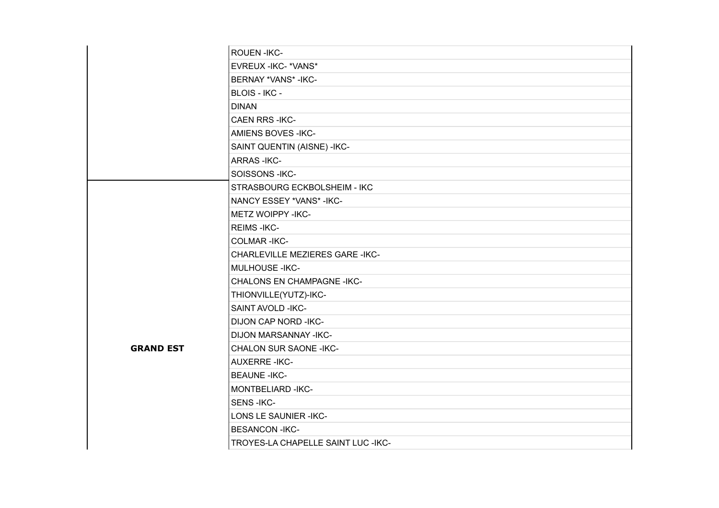|                  | ROUEN-IKC-                             |
|------------------|----------------------------------------|
|                  | EVREUX - IKC- * VANS*                  |
|                  | BERNAY *VANS* - IKC-                   |
|                  | <b>BLOIS - IKC -</b>                   |
|                  | <b>DINAN</b>                           |
|                  | <b>CAEN RRS-IKC-</b>                   |
|                  | <b>AMIENS BOVES -IKC-</b>              |
|                  | SAINT QUENTIN (AISNE) - IKC-           |
|                  | <b>ARRAS-IKC-</b>                      |
|                  | SOISSONS-IKC-                          |
|                  | STRASBOURG ECKBOLSHEIM - IKC           |
|                  | NANCY ESSEY *VANS* - IKC-              |
|                  | <b>METZ WOIPPY -IKC-</b>               |
|                  | <b>REIMS-IKC-</b>                      |
|                  | <b>COLMAR-IKC-</b>                     |
|                  | <b>CHARLEVILLE MEZIERES GARE -IKC-</b> |
|                  | <b>MULHOUSE - IKC-</b>                 |
|                  | <b>CHALONS EN CHAMPAGNE -IKC-</b>      |
|                  | THIONVILLE(YUTZ)-IKC-                  |
|                  | SAINT AVOLD - IKC-                     |
|                  | <b>DIJON CAP NORD -IKC-</b>            |
|                  | <b>DIJON MARSANNAY -IKC-</b>           |
| <b>GRAND EST</b> | <b>CHALON SUR SAONE -IKC-</b>          |
|                  | <b>AUXERRE-IKC-</b>                    |
|                  | <b>BEAUNE - IKC-</b>                   |
|                  | MONTBELIARD-IKC-                       |
|                  | <b>SENS-IKC-</b>                       |
|                  | LONS LE SAUNIER - IKC-                 |
|                  | <b>BESANCON-IKC-</b>                   |
|                  | TROYES-LA CHAPELLE SAINT LUC - IKC-    |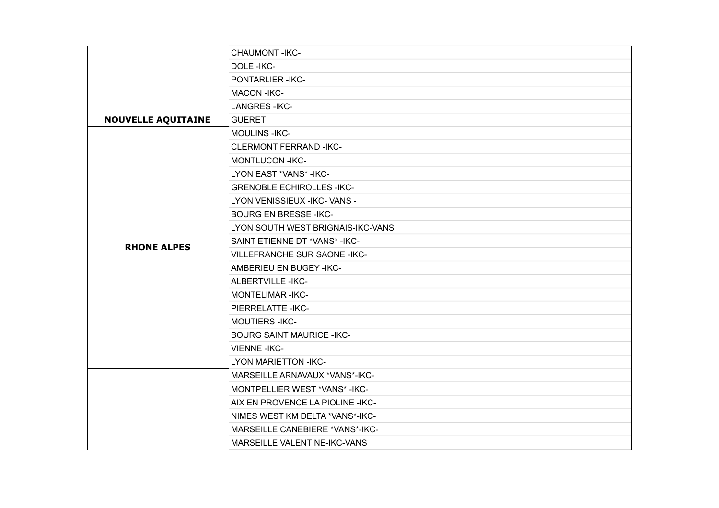|                           | CHAUMONT-IKC-                       |
|---------------------------|-------------------------------------|
|                           | DOLE-IKC-                           |
|                           | PONTARLIER-IKC-                     |
|                           | <b>MACON-IKC-</b>                   |
|                           | <b>LANGRES-IKC-</b>                 |
| <b>NOUVELLE AQUITAINE</b> | <b>GUERET</b>                       |
|                           | <b>MOULINS-IKC-</b>                 |
|                           | <b>CLERMONT FERRAND -IKC-</b>       |
|                           | <b>MONTLUCON -IKC-</b>              |
|                           | LYON EAST *VANS* - IKC-             |
|                           | <b>GRENOBLE ECHIROLLES -IKC-</b>    |
|                           | LYON VENISSIEUX - IKC- VANS -       |
|                           | <b>BOURG EN BRESSE-IKC-</b>         |
|                           | LYON SOUTH WEST BRIGNAIS-IKC-VANS   |
| <b>RHONE ALPES</b>        | SAINT ETIENNE DT *VANS*-IKC-        |
|                           | <b>VILLEFRANCHE SUR SAONE -IKC-</b> |
|                           | AMBERIEU EN BUGEY-IKC-              |
|                           | ALBERTVILLE-IKC-                    |
|                           | <b>MONTELIMAR-IKC-</b>              |
|                           | PIERRELATTE - IKC-                  |
|                           | MOUTIERS-IKC-                       |
|                           | <b>BOURG SAINT MAURICE -IKC-</b>    |
|                           | <b>VIENNE-IKC-</b>                  |
|                           | <b>LYON MARIETTON -IKC-</b>         |
|                           | MARSEILLE ARNAVAUX *VANS*-IKC-      |
|                           | MONTPELLIER WEST *VANS*-IKC-        |
|                           | AIX EN PROVENCE LA PIOLINE - IKC-   |
|                           | NIMES WEST KM DELTA *VANS*-IKC-     |
|                           | MARSEILLE CANEBIERE *VANS*-IKC-     |
|                           | MARSEILLE VALENTINE-IKC-VANS        |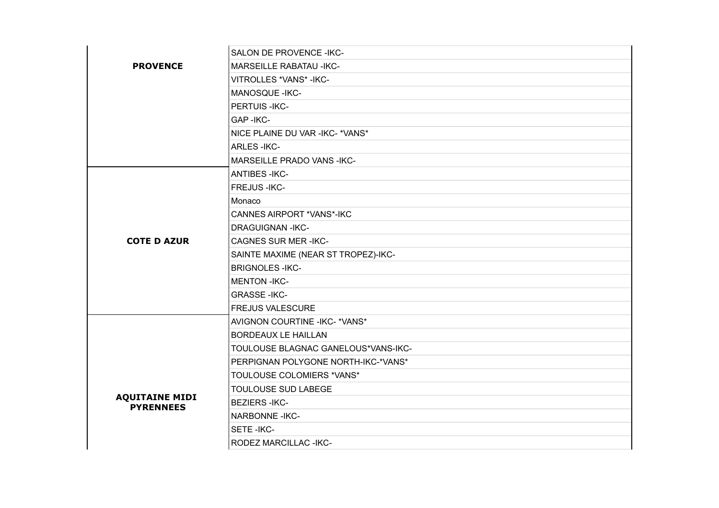| <b>PROVENCE</b>                           | SALON DE PROVENCE - IKC-            |
|-------------------------------------------|-------------------------------------|
|                                           | <b>MARSEILLE RABATAU -IKC-</b>      |
|                                           | VITROLLES *VANS* - IKC-             |
|                                           | MANOSQUE - IKC-                     |
|                                           | PERTUIS-IKC-                        |
|                                           | GAP-IKC-                            |
|                                           | NICE PLAINE DU VAR - IKC- * VANS*   |
|                                           | <b>ARLES-IKC-</b>                   |
|                                           | MARSEILLE PRADO VANS-IKC-           |
|                                           | <b>ANTIBES-IKC-</b>                 |
|                                           | <b>FREJUS - IKC-</b>                |
|                                           | Monaco                              |
|                                           | CANNES AIRPORT *VANS*-IKC           |
|                                           | <b>DRAGUIGNAN-IKC-</b>              |
| <b>COTE D AZUR</b>                        | <b>CAGNES SUR MER-IKC-</b>          |
|                                           | SAINTE MAXIME (NEAR ST TROPEZ)-IKC- |
|                                           | <b>BRIGNOLES-IKC-</b>               |
|                                           | <b>MENTON-IKC-</b>                  |
|                                           | <b>GRASSE-IKC-</b>                  |
|                                           | <b>FREJUS VALESCURE</b>             |
|                                           | AVIGNON COURTINE - IKC-* VANS*      |
| <b>AQUITAINE MIDI</b><br><b>PYRENNEES</b> | <b>BORDEAUX LE HAILLAN</b>          |
|                                           | TOULOUSE BLAGNAC GANELOUS*VANS-IKC- |
|                                           | PERPIGNAN POLYGONE NORTH-IKC-*VANS* |
|                                           | TOULOUSE COLOMIERS *VANS*           |
|                                           | TOULOUSE SUD LABEGE                 |
|                                           | <b>BEZIERS-IKC-</b>                 |
|                                           | <b>NARBONNE-IKC-</b>                |
|                                           | SETE-IKC-                           |
|                                           | RODEZ MARCILLAC - IKC-              |